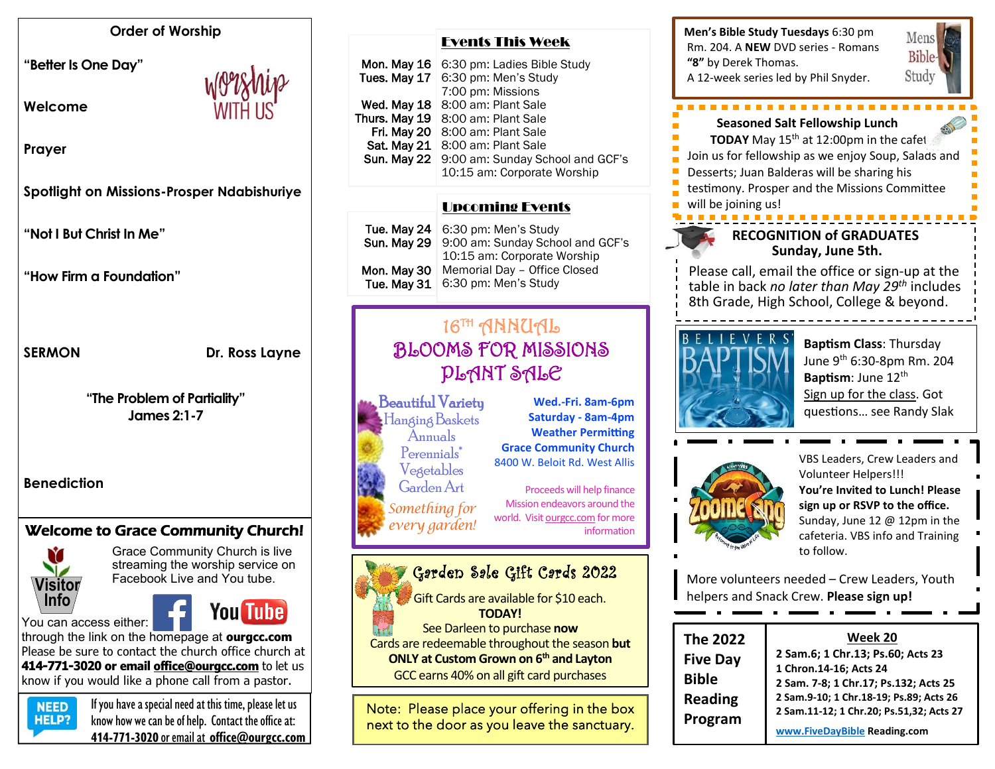### **Order of Worship**

**"Better Is One Day"** 

**Welcome** 



**Prayer**

**Spotlight on Missions-Prosper Ndabishuriye**

**"Not I But Christ In Me"**

**"How Firm a Foundation"**

### SERMON Dr. Ross Layne

**"The Problem of Partiality" James 2:1-7**

**Benediction**

# Welcome to Grace Community Church!



Grace Community Church is live streaming the worship service on Facebook Live and You tube.

You can access either:



through the link on the homepage at **ourgcc.com**  Please be sure to contact the church office church at **414-771-3020 or email [office@ourgcc.com](mailto:office@ourgcc.com)** to let us know if you would like a phone call from a pastor.



 $N<sub>EED</sub>$  If you have a special need at this time, please let us **HELP?** know how we can be of help. Contact the office at: **414-771-3020** or email at **[office@ourgcc.com](mailto:office@ourgcc.com)**

| Mon. May 16   | 6:30 pm: Ladies Bible Study      |
|---------------|----------------------------------|
| Tues. May 17  | 6:30 pm: Men's Study             |
|               | 7:00 pm: Missions                |
| Wed. May 18   | 8:00 am: Plant Sale              |
| Thurs. May 19 | 8:00 am: Plant Sale              |
| Fri. May 20   | 8:00 am: Plant Sale              |
| Sat. May 21   | 8:00 am: Plant Sale              |
| Sun. May 22   | 9:00 am: Sunday School and GCF's |
|               | 10:15 am: Corporate Worship      |
|               |                                  |

Events This Week

### Upcoming Events

|             | Tue. May $24 \mid 6:30 \text{ pm}$ : Men's Study |
|-------------|--------------------------------------------------|
|             | Sun. May 29 9:00 am: Sunday School and GCF's     |
|             | 10:15 am: Corporate Worship                      |
| Mon. May 30 | Memorial Day - Office Closed                     |
| Tue, May 31 | 6:30 pm: Men's Study                             |
|             |                                                  |

# 16TH ANNUAL BLOOMS FOR MISSIONS PLANT SALE

س 19- Beautiful Variety مسيح السلام المسلم المسلم المسلم المسلم المسيح المسلم ال HangingBaskets Annuals Perennials\* Vegetables GardenArt *Something for every garden!*

۱

**Wed.-Fri. 8am-6pm Saturday - 8am-4pm Weather Permitting Grace Community Church** 8400 W. Beloit Rd. West Allis

Proceeds will help finance Mission endeavors around the world. Visit ourgcc.com for more information

#### Garden Sale Gift Cards 2022 i.

 Gift Cards are available for \$10 each. **TODAY!**

See Darleen to purchase **now** Cards are redeemable throughout the season **but**

**ONLY at Custom Grown on 6th and Layton** GCC earns 40% on all gift card purchases

Note: Please place your offering in the box next to the door as you leave the sanctuary. í



**Bible** Study **Seasoned Salt Fellowship Lunch TODAY** May  $15<sup>th</sup>$  at  $12:00$ pm in the cafet Join us for fellowship as we enjoy Soup, Salads and Desserts; Juan Balderas will be sharing his

Mens

testimony. Prosper and the Missions Committee

will be joining us!

## **RECOGNITION of GRADUATES Sunday, June 5th.**

Please call, email the office or sign-up at the table in back *no later than May 29 th* includes 8th Grade, High School, College & beyond.



**Baptism Class**: Thursday June 9th 6:30-8pm Rm. 204 **Baptism**: June 12<sup>th</sup> Sign up for the class. Got questions… see Randy Slak



VBS Leaders, Crew Leaders and Volunteer Helpers!!! **You're Invited to Lunch! Please sign up or RSVP to the office.** Sunday, June 12 @ 12pm in the cafeteria. VBS info and Training to follow.

More volunteers needed – Crew Leaders, Youth helpers and Snack Crew. **Please sign up!**

| <b>The 2022</b><br><b>Five Day</b><br><b>Bible</b> | Week 20<br>2 Sam.6; 1 Chr.13; Ps.60; Acts 23<br>1 Chron.14-16; Acts 24<br>2 Sam. 7-8; 1 Chr.17; Ps.132; Acts 25<br>2 Sam.9-10; 1 Chr.18-19; Ps.89; Acts 26<br>2 Sam.11-12; 1 Chr.20; Ps.51,32; Acts 27 |
|----------------------------------------------------|--------------------------------------------------------------------------------------------------------------------------------------------------------------------------------------------------------|
| <b>Reading</b><br>Program                          |                                                                                                                                                                                                        |
|                                                    | www.FiveDayBible Reading.com                                                                                                                                                                           |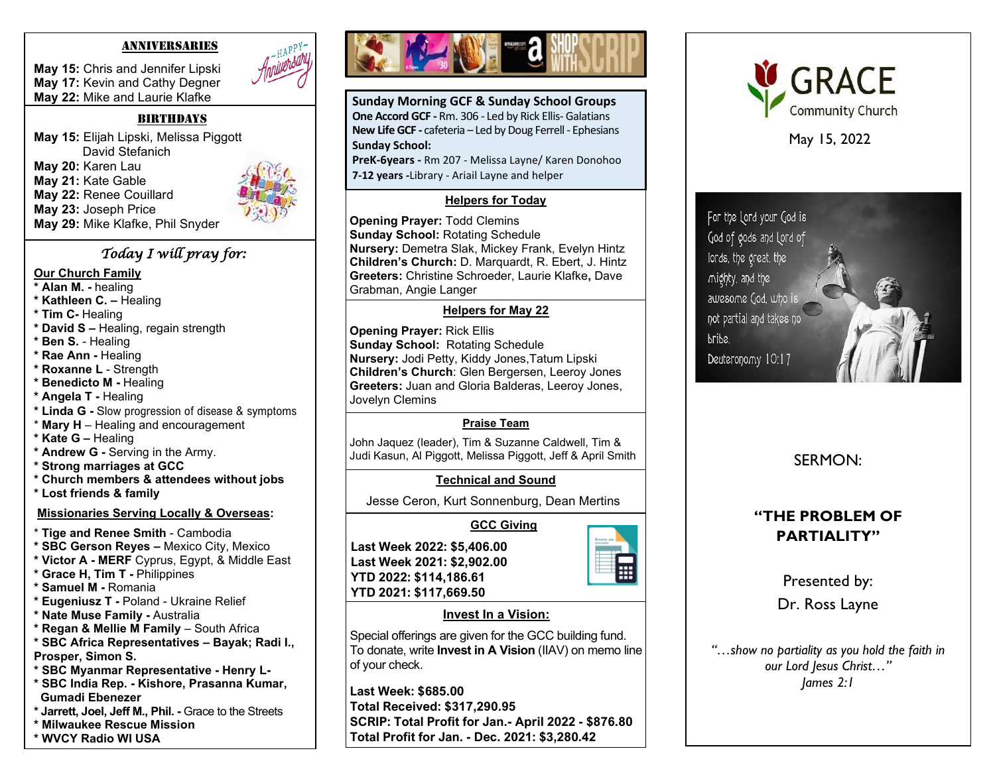#### ANNIVERSARIES

**May 15:** Chris and Jennifer Lipski **May 17:** Kevin and Cathy Degner **May 22:** Mike and Laurie Klafke

#### **BIRTHDAYS**

**May 15:** Elijah Lipski, Melissa Piggott David Stefanich **May 20:** Karen Lau **May 21:** Kate Gable **May 22:** Renee Couillard **May 23:** Joseph Price **May 29:** Mike Klafke, Phil Snyder



### *Today I will pray for:*

#### **Our Church Family**

- **\* Alan M. -** healing
- **\* Kathleen C. –** Healing
- **\* Tim C-** Healing
- **\* David S –** Healing, regain strength
- **\* Ben S.** Healing
- **\* Rae Ann -** Healing
- **\* Roxanne L**  Strength
- **\* Benedicto M -** Healing
- **\* Angela T -** Healing
- **\* Linda G -** Slow progression of disease & symptoms
- \* **Mary H**  Healing and encouragement
- **\* Kate G –** Healing
- **\* Andrew G -** Serving in the Army.
- **\* Strong marriages at GCC**
- **\* Church members & attendees without jobs**
- **\* Lost friends & family**

### **Missionaries Serving Locally & Overseas:**

- \* **Tige and Renee Smith** Cambodia
- **\* SBC Gerson Reyes –** Mexico City, Mexico
- **\* Victor A - MERF** Cyprus, Egypt, & Middle East
- **\* Grace H, Tim T -** Philippines
- **\* Samuel M -** Romania
- **\* Eugeniusz T -** Poland Ukraine Relief
- **\* Nate Muse Family -** Australia
- **\* Regan & Mellie M Family**  South Africa
- **\* SBC Africa Representatives – Bayak; Radi I.,**
- **Prosper, Simon S.**
- **\* SBC Myanmar Representative - Henry L-**
- **\* SBC India Rep. - Kishore, Prasanna Kumar, Gumadi Ebenezer**
- **\* Jarrett, Joel, Jeff M., Phil. -** Grace to the Streets
- **\* Milwaukee Rescue Mission**
- **\* WVCY Radio WI USA**



**Sunday Morning GCF & Sunday School Groups One Accord GCF -** Rm. 306 - Led by Rick Ellis- Galatians **New Life GCF -** cafeteria – Led by Doug Ferrell - Ephesians **Sunday School:**

**PreK-6years -** Rm 207 - Melissa Layne/ Karen Donohoo **7-12 years -**Library - Ariail Layne and helper

### **Helpers for Today**

**Opening Prayer:** Todd Clemins **Sunday School:** Rotating Schedule **Nursery:** Demetra Slak, Mickey Frank, Evelyn Hintz **Children's Church:** D. Marquardt, R. Ebert, J. Hintz **Greeters:** Christine Schroeder, Laurie Klafke**,** Dave Grabman, Angie Langer

### **Helpers for May 22**

j **Opening Prayer:** Rick Ellis **Sunday School:** Rotating Schedule **Nursery:** Jodi Petty, Kiddy Jones,Tatum Lipski **Children's Church**: Glen Bergersen, Leeroy Jones **Greeters:** Juan and Gloria Balderas, Leeroy Jones, Jovelyn Clemins

## **Praise Team**

John Jaquez (leader), Tim & Suzanne Caldwell, Tim & Judi Kasun, Al Piggott, Melissa Piggott, Jeff & April Smith

## **Technical and Sound**

 **GCC Giving**

Jesse Ceron, Kurt Sonnenburg, Dean Mertins

**Last Week 2022: \$5,406.00 Last Week 2021: \$2,902.00 YTD 2022: \$114,186.61 YTD 2021: \$117,669.50**



### **Invest In a Vision:**

Special offerings are given for the GCC building fund. To donate, write **Invest in A Vision** (IIAV) on memo line of your check.

**Last Week: \$685.00 Total Received: \$317,290.95 SCRIP: Total Profit for Jan.- April 2022 - \$876.80 Total Profit for Jan. - Dec. 2021: \$3,280.42**



May 15, 2022

For the Lord your God is God of gods and Lord of lords, the great, the mighty, and the awesome God, who is not partial and takes no bribe. Deuteronomy 10:17

SERMON:

# **"THE PROBLEM OF PARTIALITY"**

Presented by: Dr. Ross Layne

*"…show no partiality as you hold the faith in our Lord Jesus Christ…" James 2:1*